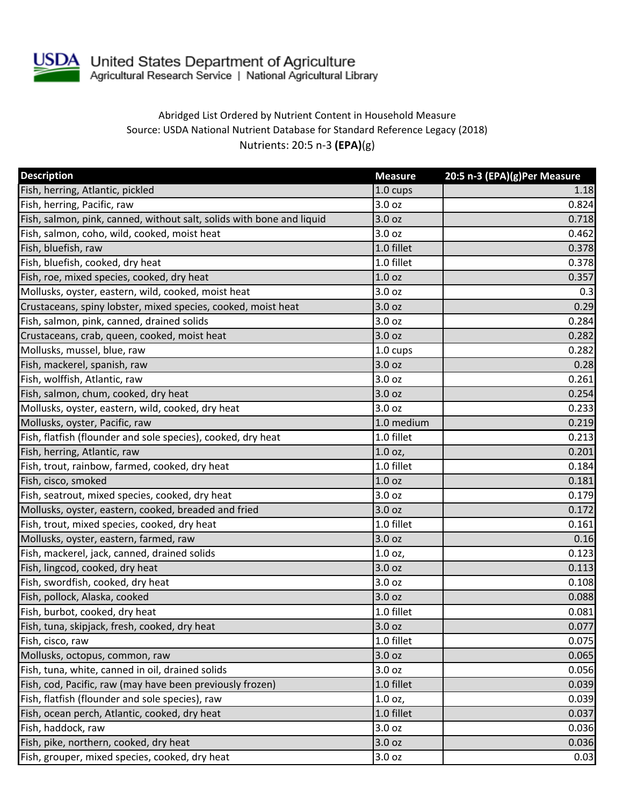

## Abridged List Ordered by Nutrient Content in Household Measure Source: USDA National Nutrient Database for Standard Reference Legacy (2018) Nutrients: 20:5 n-3 **(EPA)**(g)

| <b>Description</b>                                                    | <b>Measure</b>    | 20:5 n-3 (EPA)(g)Per Measure |
|-----------------------------------------------------------------------|-------------------|------------------------------|
| Fish, herring, Atlantic, pickled                                      | 1.0 cups          | 1.18                         |
| Fish, herring, Pacific, raw                                           | 3.0 oz            | 0.824                        |
| Fish, salmon, pink, canned, without salt, solids with bone and liquid | 3.0 oz            | 0.718                        |
| Fish, salmon, coho, wild, cooked, moist heat                          | 3.0 oz            | 0.462                        |
| Fish, bluefish, raw                                                   | 1.0 fillet        | 0.378                        |
| Fish, bluefish, cooked, dry heat                                      | 1.0 fillet        | 0.378                        |
| Fish, roe, mixed species, cooked, dry heat                            | 1.0 <sub>oz</sub> | 0.357                        |
| Mollusks, oyster, eastern, wild, cooked, moist heat                   | 3.0 oz            | 0.3                          |
| Crustaceans, spiny lobster, mixed species, cooked, moist heat         | 3.0 oz            | 0.29                         |
| Fish, salmon, pink, canned, drained solids                            | 3.0 oz            | 0.284                        |
| Crustaceans, crab, queen, cooked, moist heat                          | 3.0 oz            | 0.282                        |
| Mollusks, mussel, blue, raw                                           | 1.0 cups          | 0.282                        |
| Fish, mackerel, spanish, raw                                          | 3.0 oz            | 0.28                         |
| Fish, wolffish, Atlantic, raw                                         | 3.0 oz            | 0.261                        |
| Fish, salmon, chum, cooked, dry heat                                  | 3.0 oz            | 0.254                        |
| Mollusks, oyster, eastern, wild, cooked, dry heat                     | 3.0 <sub>oz</sub> | 0.233                        |
| Mollusks, oyster, Pacific, raw                                        | 1.0 medium        | 0.219                        |
| Fish, flatfish (flounder and sole species), cooked, dry heat          | 1.0 fillet        | 0.213                        |
| Fish, herring, Atlantic, raw                                          | $1.0$ oz,         | 0.201                        |
| Fish, trout, rainbow, farmed, cooked, dry heat                        | 1.0 fillet        | 0.184                        |
| Fish, cisco, smoked                                                   | 1.0 oz            | 0.181                        |
| Fish, seatrout, mixed species, cooked, dry heat                       | 3.0 oz            | 0.179                        |
| Mollusks, oyster, eastern, cooked, breaded and fried                  | 3.0 oz            | 0.172                        |
| Fish, trout, mixed species, cooked, dry heat                          | 1.0 fillet        | 0.161                        |
| Mollusks, oyster, eastern, farmed, raw                                | 3.0 oz            | 0.16                         |
| Fish, mackerel, jack, canned, drained solids                          | 1.0 oz,           | 0.123                        |
| Fish, lingcod, cooked, dry heat                                       | 3.0 oz            | 0.113                        |
| Fish, swordfish, cooked, dry heat                                     | 3.0 oz            | 0.108                        |
| Fish, pollock, Alaska, cooked                                         | 3.0 oz            | 0.088                        |
| Fish, burbot, cooked, dry heat                                        | 1.0 fillet        | 0.081                        |
| Fish, tuna, skipjack, fresh, cooked, dry heat                         | 3.0 oz            | 0.077                        |
| Fish, cisco, raw                                                      | 1.0 fillet        | 0.075                        |
| Mollusks, octopus, common, raw                                        | 3.0 oz            | 0.065                        |
| Fish, tuna, white, canned in oil, drained solids                      | 3.0 oz            | 0.056                        |
| Fish, cod, Pacific, raw (may have been previously frozen)             | 1.0 fillet        | 0.039                        |
| Fish, flatfish (flounder and sole species), raw                       | 1.0 oz,           | 0.039                        |
| Fish, ocean perch, Atlantic, cooked, dry heat                         | 1.0 fillet        | 0.037                        |
| Fish, haddock, raw                                                    | 3.0 oz            | 0.036                        |
| Fish, pike, northern, cooked, dry heat                                | 3.0 oz            | 0.036                        |
| Fish, grouper, mixed species, cooked, dry heat                        | 3.0 oz            | 0.03                         |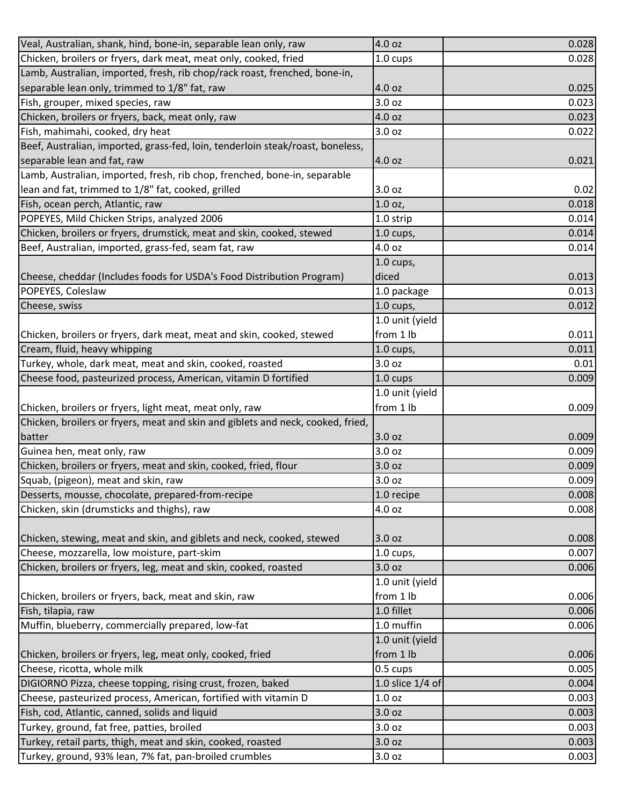| Veal, Australian, shank, hind, bone-in, separable lean only, raw                | 4.0 oz             | 0.028 |
|---------------------------------------------------------------------------------|--------------------|-------|
| Chicken, broilers or fryers, dark meat, meat only, cooked, fried                | 1.0 cups           | 0.028 |
| Lamb, Australian, imported, fresh, rib chop/rack roast, frenched, bone-in,      |                    |       |
| separable lean only, trimmed to 1/8" fat, raw                                   | 4.0 oz             | 0.025 |
| Fish, grouper, mixed species, raw                                               | 3.0 oz             | 0.023 |
| Chicken, broilers or fryers, back, meat only, raw                               | 4.0 oz             | 0.023 |
| Fish, mahimahi, cooked, dry heat                                                | 3.0 oz             | 0.022 |
| Beef, Australian, imported, grass-fed, loin, tenderloin steak/roast, boneless,  |                    |       |
| separable lean and fat, raw                                                     | 4.0 oz             | 0.021 |
| Lamb, Australian, imported, fresh, rib chop, frenched, bone-in, separable       |                    |       |
| lean and fat, trimmed to 1/8" fat, cooked, grilled                              | 3.0 oz             | 0.02  |
| Fish, ocean perch, Atlantic, raw                                                | 1.0 oz,            | 0.018 |
| POPEYES, Mild Chicken Strips, analyzed 2006                                     | 1.0 strip          | 0.014 |
| Chicken, broilers or fryers, drumstick, meat and skin, cooked, stewed           | $1.0$ cups,        | 0.014 |
| Beef, Australian, imported, grass-fed, seam fat, raw                            | 4.0 oz             | 0.014 |
|                                                                                 | 1.0 cups,          |       |
| Cheese, cheddar (Includes foods for USDA's Food Distribution Program)           | diced              | 0.013 |
| POPEYES, Coleslaw                                                               | 1.0 package        | 0.013 |
| Cheese, swiss                                                                   | $1.0$ cups,        | 0.012 |
|                                                                                 | 1.0 unit (yield    |       |
| Chicken, broilers or fryers, dark meat, meat and skin, cooked, stewed           | from 1 lb          | 0.011 |
| Cream, fluid, heavy whipping                                                    | $1.0$ cups,        | 0.011 |
| Turkey, whole, dark meat, meat and skin, cooked, roasted                        | 3.0 oz             | 0.01  |
| Cheese food, pasteurized process, American, vitamin D fortified                 | $1.0 \text{ cups}$ | 0.009 |
|                                                                                 | 1.0 unit (yield    |       |
| Chicken, broilers or fryers, light meat, meat only, raw                         | from 1 lb          | 0.009 |
| Chicken, broilers or fryers, meat and skin and giblets and neck, cooked, fried, |                    |       |
| batter                                                                          | 3.0 oz             | 0.009 |
| Guinea hen, meat only, raw                                                      | 3.0 oz             | 0.009 |
| Chicken, broilers or fryers, meat and skin, cooked, fried, flour                | 3.0 oz             | 0.009 |
| Squab, (pigeon), meat and skin, raw                                             | 3.0 oz             | 0.009 |
| Desserts, mousse, chocolate, prepared-from-recipe                               | 1.0 recipe         | 0.008 |
| Chicken, skin (drumsticks and thighs), raw                                      | 4.0 oz             | 0.008 |
|                                                                                 |                    |       |
| Chicken, stewing, meat and skin, and giblets and neck, cooked, stewed           | 3.0 oz             | 0.008 |
| Cheese, mozzarella, low moisture, part-skim                                     | $1.0$ cups,        | 0.007 |
| Chicken, broilers or fryers, leg, meat and skin, cooked, roasted                | 3.0 oz             | 0.006 |
|                                                                                 | 1.0 unit (yield    |       |
| Chicken, broilers or fryers, back, meat and skin, raw                           | from 1 lb          | 0.006 |
| Fish, tilapia, raw                                                              | 1.0 fillet         | 0.006 |
| Muffin, blueberry, commercially prepared, low-fat                               | 1.0 muffin         | 0.006 |
|                                                                                 | 1.0 unit (yield    |       |
| Chicken, broilers or fryers, leg, meat only, cooked, fried                      | from 1 lb          | 0.006 |
| Cheese, ricotta, whole milk                                                     | 0.5 cups           | 0.005 |
| DIGIORNO Pizza, cheese topping, rising crust, frozen, baked                     | 1.0 slice 1/4 of   | 0.004 |
| Cheese, pasteurized process, American, fortified with vitamin D                 | 1.0 oz             | 0.003 |
| Fish, cod, Atlantic, canned, solids and liquid                                  | 3.0 oz             | 0.003 |
| Turkey, ground, fat free, patties, broiled                                      | 3.0 oz             | 0.003 |
| Turkey, retail parts, thigh, meat and skin, cooked, roasted                     | 3.0 oz             | 0.003 |
| Turkey, ground, 93% lean, 7% fat, pan-broiled crumbles                          | 3.0 oz             | 0.003 |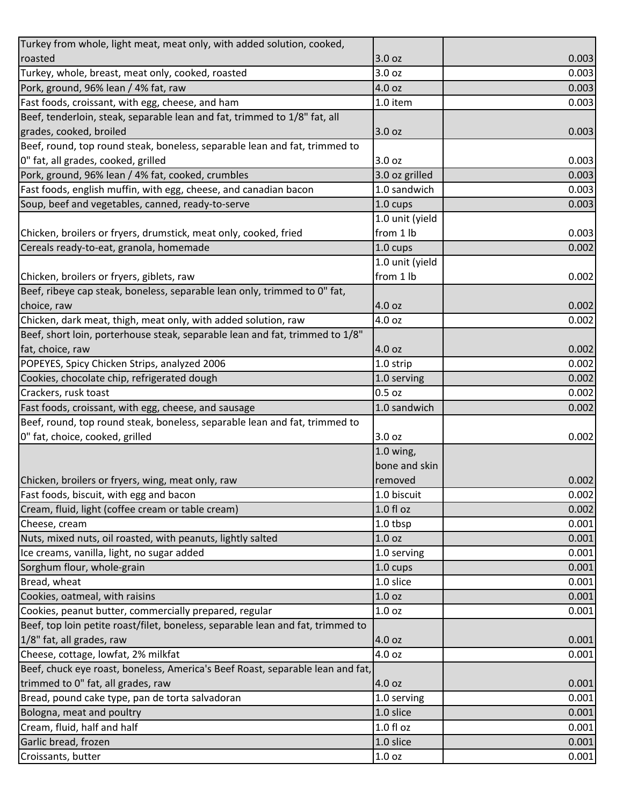| Turkey from whole, light meat, meat only, with added solution, cooked,                                 |                     |                         |
|--------------------------------------------------------------------------------------------------------|---------------------|-------------------------|
| roasted                                                                                                | 3.0 oz              | 0.003                   |
| Turkey, whole, breast, meat only, cooked, roasted                                                      | 3.0 oz              | 0.003                   |
| Pork, ground, 96% lean / 4% fat, raw                                                                   | 4.0 oz              | 0.003                   |
| Fast foods, croissant, with egg, cheese, and ham                                                       | 1.0 item            | 0.003                   |
| Beef, tenderloin, steak, separable lean and fat, trimmed to 1/8" fat, all                              |                     |                         |
| grades, cooked, broiled                                                                                | 3.0 oz              | 0.003                   |
| Beef, round, top round steak, boneless, separable lean and fat, trimmed to                             |                     |                         |
| 0" fat, all grades, cooked, grilled                                                                    | 3.0 oz              | 0.003                   |
| Pork, ground, 96% lean / 4% fat, cooked, crumbles                                                      | 3.0 oz grilled      | 0.003                   |
| Fast foods, english muffin, with egg, cheese, and canadian bacon                                       | 1.0 sandwich        | 0.003                   |
| Soup, beef and vegetables, canned, ready-to-serve                                                      | 1.0 cups            | 0.003                   |
|                                                                                                        | 1.0 unit (yield     |                         |
| Chicken, broilers or fryers, drumstick, meat only, cooked, fried                                       | from 1 lb           | 0.003                   |
| Cereals ready-to-eat, granola, homemade                                                                | 1.0 cups            | 0.002                   |
|                                                                                                        | 1.0 unit (yield     |                         |
| Chicken, broilers or fryers, giblets, raw                                                              | from 1 lb           | 0.002                   |
| Beef, ribeye cap steak, boneless, separable lean only, trimmed to 0" fat,                              |                     |                         |
| choice, raw                                                                                            | 4.0 oz              | 0.002                   |
| Chicken, dark meat, thigh, meat only, with added solution, raw                                         | 4.0 oz              | 0.002                   |
| Beef, short loin, porterhouse steak, separable lean and fat, trimmed to 1/8"                           |                     |                         |
| fat, choice, raw                                                                                       | 4.0 oz              | 0.002                   |
| POPEYES, Spicy Chicken Strips, analyzed 2006                                                           | 1.0 strip           | 0.002                   |
| Cookies, chocolate chip, refrigerated dough                                                            | 1.0 serving         | 0.002                   |
| Crackers, rusk toast                                                                                   | $0.5$ oz            | 0.002                   |
|                                                                                                        |                     |                         |
|                                                                                                        |                     |                         |
|                                                                                                        | 1.0 sandwich        | 0.002                   |
| Beef, round, top round steak, boneless, separable lean and fat, trimmed to                             |                     |                         |
| Fast foods, croissant, with egg, cheese, and sausage<br>0" fat, choice, cooked, grilled                | 3.0 oz              | 0.002                   |
|                                                                                                        | $1.0$ wing,         |                         |
|                                                                                                        | bone and skin       |                         |
|                                                                                                        | removed             | 0.002                   |
| Fast foods, biscuit, with egg and bacon                                                                | 1.0 biscuit         |                         |
| Chicken, broilers or fryers, wing, meat only, raw<br>Cream, fluid, light (coffee cream or table cream) | 1.0 fl oz           |                         |
| Cheese, cream                                                                                          | 1.0 tbsp            | 0.001                   |
| Nuts, mixed nuts, oil roasted, with peanuts, lightly salted                                            | 1.0 <sub>oz</sub>   | 0.001                   |
| Ice creams, vanilla, light, no sugar added                                                             | 1.0 serving         | 0.001                   |
| Sorghum flour, whole-grain                                                                             | 1.0 cups            | 0.001                   |
| Bread, wheat                                                                                           | 1.0 slice           | 0.002<br>0.002<br>0.001 |
| Cookies, oatmeal, with raisins                                                                         | 1.0 oz              | 0.001                   |
| Cookies, peanut butter, commercially prepared, regular                                                 | 1.0 oz              | 0.001                   |
| Beef, top loin petite roast/filet, boneless, separable lean and fat, trimmed to                        |                     |                         |
| 1/8" fat, all grades, raw                                                                              | 4.0 oz              | 0.001                   |
| Cheese, cottage, lowfat, 2% milkfat                                                                    | 4.0 oz              | 0.001                   |
| Beef, chuck eye roast, boneless, America's Beef Roast, separable lean and fat,                         |                     |                         |
| trimmed to 0" fat, all grades, raw                                                                     | 4.0 oz              | 0.001                   |
| Bread, pound cake type, pan de torta salvadoran                                                        | 1.0 serving         | 0.001                   |
| Bologna, meat and poultry                                                                              | 1.0 slice           | 0.001                   |
| Cream, fluid, half and half                                                                            | 1.0 fl oz           | 0.001                   |
| Garlic bread, frozen<br>Croissants, butter                                                             | 1.0 slice<br>1.0 oz | 0.001                   |